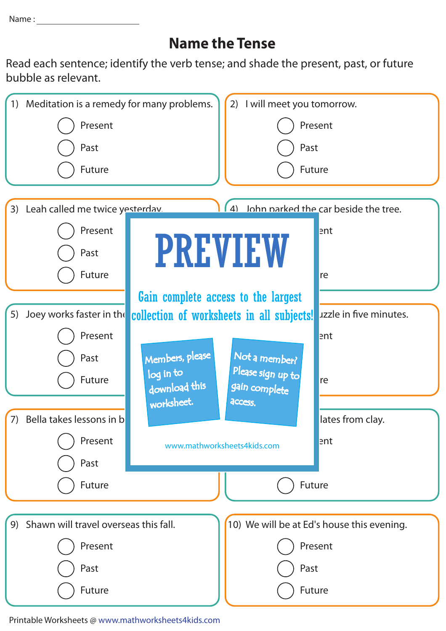Name : <u>\_\_\_\_\_</u>

## **Name the Tense**

Read each sentence; identify the verb tense; and shade the present, past, or future bubble as relevant.



Printable Worksheets @ www.mathworksheets4kids.com